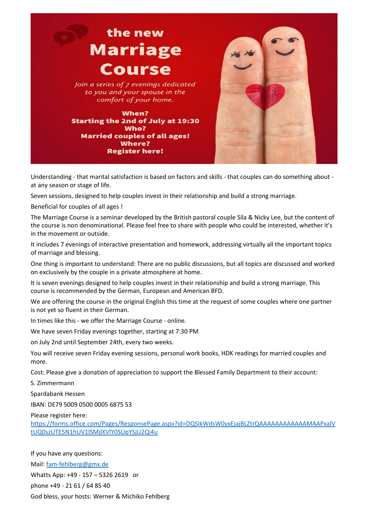

Understanding - that marital satisfaction is based on factors and skills - that couples can do something about at any season or stage of life.

Seven sessions, designed to help couples invest in their relationship and build a strong marriage.

Beneficial for couples of all ages !

The Marriage Course is a seminar developed by the British pastoral couple Sila & Nicky Lee, but the content of the course is non denominational. Please feel free to share with people who could be interested, whether it's in the movement or outside.

It includes 7 evenings of interactive presentation and homework, addressing virtually all the important topics of marriage and blessing.

One thing is important to understand: There are no public discussions, but all topics are discussed and worked on exclusively by the couple in a private atmosphere at home.

It is seven evenings designed to help couples invest in their relationship and build a strong marriage. This course is recommended by the German, European and American BFD.

We are offering the course in the original English this time at the request of some couples where one partner is not yet so fluent in their German.

In times like this - we offer the Marriage Course - online.

We have seven Friday evenings together, starting at 7:30 PM

on July 2nd until September 24th, every two weeks.

You will receive seven Friday evening sessions, personal work books, HDK readings for married couples and more.

Cost: Please give a donation of appreciation to support the Blessed Family Department to their account:

S. Zimmermann

Spardabank Hessen

IBAN: DE79 5009 0500 0005 6875 53

Please register here:

https://forms.office.com/Pages/ResponsePage.aspx?id=DQSIkWdsW0yxEjajBLZtrQAAAAAAAAAAAAMAAPxalV tUQ0szUTE5N1hUV1lSMjlXVlY0SUpYSjU2Qi4u

If you have any questions:

Mail: fam-fehlberg@gmx.de

Whatts App: +49 - 157 – 5326 2619 or

phone +49 - 21 61 / 64 85 40

God bless, your hosts: Werner & Michiko Fehlberg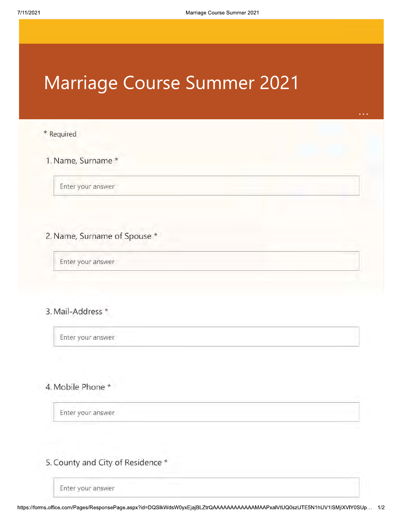# **Marriage Course Summer 2021**

#### \* Required

## 1. Name, Surname \*

Enter your answer

### 2. Name, Surname of Spouse \*

Enter your answer

## 3. Mail-Address \*

Enter your answer

## 4. Mobile Phone \*

Enter your answer

5. County and City of Residence \*

Enter your answer